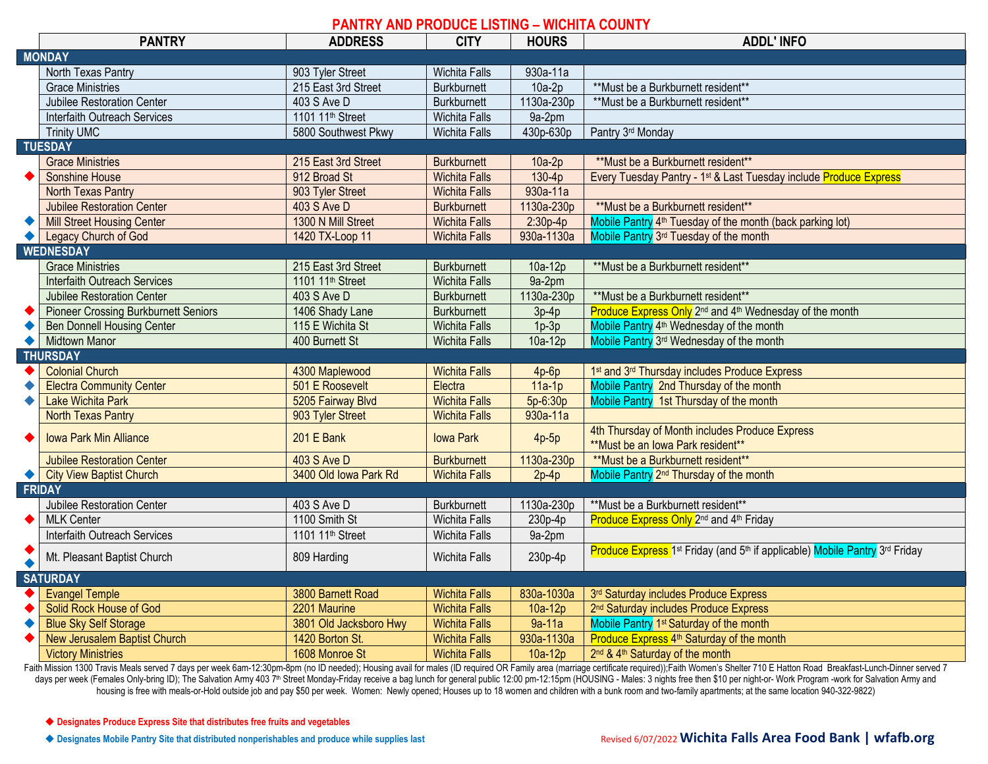## **PANTRY AND PRODUCE LISTING – WICHITA COUNTY**

|                  | <b>PANTRY</b>                               | <b>ADDRESS</b>               | <b>CITY</b>          | <b>HOURS</b> | <b>ADDL'INFO</b>                                                                                                |  |  |  |  |
|------------------|---------------------------------------------|------------------------------|----------------------|--------------|-----------------------------------------------------------------------------------------------------------------|--|--|--|--|
| <b>MONDAY</b>    |                                             |                              |                      |              |                                                                                                                 |  |  |  |  |
|                  | North Texas Pantry                          | 903 Tyler Street             | <b>Wichita Falls</b> | 930a-11a     |                                                                                                                 |  |  |  |  |
|                  | <b>Grace Ministries</b>                     | 215 East 3rd Street          | <b>Burkburnett</b>   | $10a-2p$     | ** Must be a Burkburnett resident**                                                                             |  |  |  |  |
|                  | Jubilee Restoration Center                  | 403 S Ave D                  | Burkburnett          | 1130a-230p   | **Must be a Burkburnett resident**                                                                              |  |  |  |  |
|                  | Interfaith Outreach Services                | 1101 11 <sup>th</sup> Street | Wichita Falls        | 9a-2pm       |                                                                                                                 |  |  |  |  |
|                  | <b>Trinity UMC</b>                          | 5800 Southwest Pkwy          | <b>Wichita Falls</b> | 430p-630p    | Pantry 3rd Monday                                                                                               |  |  |  |  |
|                  | <b>TUESDAY</b>                              |                              |                      |              |                                                                                                                 |  |  |  |  |
|                  | <b>Grace Ministries</b>                     | 215 East 3rd Street          | <b>Burkburnett</b>   | $10a-2p$     | ** Must be a Burkburnett resident**                                                                             |  |  |  |  |
|                  | Sonshine House                              | 912 Broad St                 | <b>Wichita Falls</b> | $130-4p$     | Every Tuesday Pantry - 1st & Last Tuesday include Produce Express                                               |  |  |  |  |
|                  | North Texas Pantry                          | 903 Tyler Street             | <b>Wichita Falls</b> | 930a-11a     |                                                                                                                 |  |  |  |  |
|                  | <b>Jubilee Restoration Center</b>           | 403 S Ave D                  | <b>Burkburnett</b>   | 1130a-230p   | **Must be a Burkburnett resident**                                                                              |  |  |  |  |
| $\bullet$        | <b>Mill Street Housing Center</b>           | 1300 N Mill Street           | <b>Wichita Falls</b> | $2:30p-4p$   | Mobile Pantry 4 <sup>th</sup> Tuesday of the month (back parking lot)                                           |  |  |  |  |
|                  | Legacy Church of God                        | 1420 TX-Loop 11              | <b>Wichita Falls</b> | 930a-1130a   | Mobile Pantry 3 <sup>rd</sup> Tuesday of the month                                                              |  |  |  |  |
| <b>WEDNESDAY</b> |                                             |                              |                      |              |                                                                                                                 |  |  |  |  |
|                  | <b>Grace Ministries</b>                     | 215 East 3rd Street          | <b>Burkburnett</b>   | 10a-12p      | ** Must be a Burkburnett resident**                                                                             |  |  |  |  |
|                  | <b>Interfaith Outreach Services</b>         | 1101 11 <sup>th</sup> Street | <b>Wichita Falls</b> | 9a-2pm       |                                                                                                                 |  |  |  |  |
|                  | <b>Jubilee Restoration Center</b>           | 403 S Ave D                  | <b>Burkburnett</b>   | 1130a-230p   | **Must be a Burkburnett resident**                                                                              |  |  |  |  |
|                  | <b>Pioneer Crossing Burkburnett Seniors</b> | 1406 Shady Lane              | <b>Burkburnett</b>   | $3p-4p$      | Produce Express Only 2 <sup>nd</sup> and 4 <sup>th</sup> Wednesday of the month                                 |  |  |  |  |
|                  | <b>Ben Donnell Housing Center</b>           | 115 E Wichita St             | <b>Wichita Falls</b> | $1p-3p$      | Mobile Pantry 4 <sup>th</sup> Wednesday of the month                                                            |  |  |  |  |
|                  | <b>Midtown Manor</b>                        | 400 Burnett St               | <b>Wichita Falls</b> | 10a-12p      | Mobile Pantry 3rd Wednesday of the month                                                                        |  |  |  |  |
|                  | <b>THURSDAY</b>                             |                              |                      |              |                                                                                                                 |  |  |  |  |
|                  | <b>Colonial Church</b>                      | 4300 Maplewood               | <b>Wichita Falls</b> | $4p-6p$      | 1st and 3rd Thursday includes Produce Express                                                                   |  |  |  |  |
| ◆                | <b>Electra Community Center</b>             | 501 E Roosevelt              | Electra              | $11a-1p$     | Mobile Pantry 2nd Thursday of the month                                                                         |  |  |  |  |
| ٠                | <b>Lake Wichita Park</b>                    | 5205 Fairway Blvd            | <b>Wichita Falls</b> | $5p-6:30p$   | Mobile Pantry 1st Thursday of the month                                                                         |  |  |  |  |
|                  | <b>North Texas Pantry</b>                   | 903 Tyler Street             | <b>Wichita Falls</b> | 930a-11a     |                                                                                                                 |  |  |  |  |
|                  | <b>Iowa Park Min Alliance</b>               | <b>201 E Bank</b>            | <b>lowa Park</b>     |              | 4th Thursday of Month includes Produce Express                                                                  |  |  |  |  |
|                  |                                             |                              |                      | $4p-5p$      | ** Must be an Iowa Park resident**                                                                              |  |  |  |  |
|                  | <b>Jubilee Restoration Center</b>           | 403 S Ave D                  | <b>Burkburnett</b>   | 1130a-230p   | **Must be a Burkburnett resident**                                                                              |  |  |  |  |
|                  | <b>City View Baptist Church</b>             | 3400 Old Iowa Park Rd        | <b>Wichita Falls</b> | $2p-4p$      | Mobile Pantry 2 <sup>nd</sup> Thursday of the month                                                             |  |  |  |  |
| <b>FRIDAY</b>    |                                             |                              |                      |              |                                                                                                                 |  |  |  |  |
|                  | Jubilee Restoration Center                  | 403 S Ave D                  | <b>Burkburnett</b>   | 1130a-230p   | ** Must be a Burkburnett resident**                                                                             |  |  |  |  |
| $\bullet$        | <b>MLK Center</b>                           | 1100 Smith St                | Wichita Falls        | 230p-4p      | Produce Express Only 2 <sup>nd</sup> and 4 <sup>th</sup> Friday                                                 |  |  |  |  |
|                  | Interfaith Outreach Services                | 1101 11 <sup>th</sup> Street | <b>Wichita Falls</b> | $9a-2pm$     |                                                                                                                 |  |  |  |  |
|                  | Mt. Pleasant Baptist Church                 | 809 Harding                  | Wichita Falls        | 230p-4p      | Produce Express 1 <sup>st</sup> Friday (and 5 <sup>th</sup> if applicable) Mobile Pantry 3 <sup>rd</sup> Friday |  |  |  |  |
|                  |                                             |                              |                      |              |                                                                                                                 |  |  |  |  |
|                  | <b>SATURDAY</b>                             |                              |                      |              |                                                                                                                 |  |  |  |  |
|                  | <b>Evangel Temple</b>                       | 3800 Barnett Road            | <b>Wichita Falls</b> | 830a-1030a   | 3rd Saturday includes Produce Express                                                                           |  |  |  |  |
| $\bullet$        | Solid Rock House of God                     | 2201 Maurine                 | <b>Wichita Falls</b> | $10a-12p$    | 2 <sup>nd</sup> Saturday includes Produce Express                                                               |  |  |  |  |
|                  | <b>Blue Sky Self Storage</b>                | 3801 Old Jacksboro Hwy       | <b>Wichita Falls</b> | $9a-11a$     | Mobile Pantry 1 <sup>st</sup> Saturday of the month                                                             |  |  |  |  |
|                  | New Jerusalem Baptist Church                | 1420 Borton St.              | <b>Wichita Falls</b> | 930a-1130a   | Produce Express 4 <sup>th</sup> Saturday of the month                                                           |  |  |  |  |
|                  | <b>Victory Ministries</b>                   | 1608 Monroe St               | <b>Wichita Falls</b> | $10a-12p$    | 2 <sup>nd</sup> & 4 <sup>th</sup> Saturday of the month                                                         |  |  |  |  |

Faith Mission 1300 Travis Meals served 7 days per week 6am-12:30pm-8pm (no ID needed); Housing avail for males (ID required OR Family area (marriage certificate required)); Faith Women's Shelter 710 E Hatton Road Breakfast days per week (Females Only-bring ID); The Salvation Army 403 7<sup>th</sup> Street Monday-Friday receive a bag lunch for general public 12:00 pm-12:15pm (HOUSING - Males: 3 nights free then \$10 per night-or- Work Program -work for housing is free with meals-or-Hold outside job and pay \$50 per week. Women: Newly opened; Houses up to 18 women and children with a bunk room and two-family apartments; at the same location 940-322-9822)